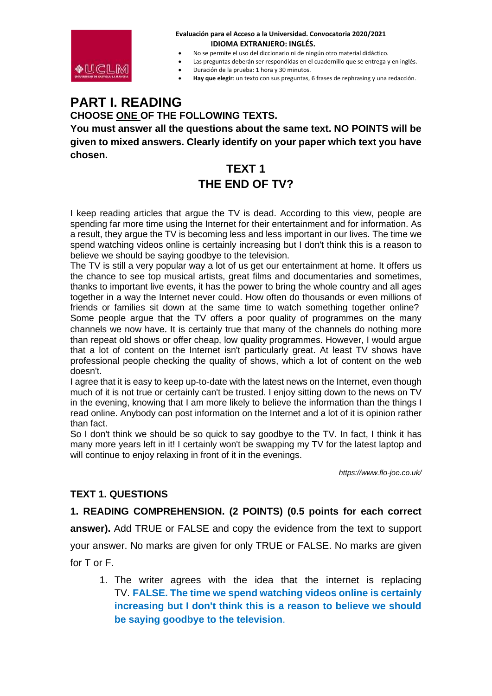

- No se permite el uso del diccionario ni de ningún otro material didáctico.
- Las preguntas deberán ser respondidas en el cuadernillo que se entrega y en inglés.
- Duración de la prueba: 1 hora y 30 minutos.
- **Hay que elegir**: un texto con sus preguntas, 6 frases de rephrasing y una redacción.

# **PART I. READING**

### **CHOOSE ONE OF THE FOLLOWING TEXTS.**

**You must answer all the questions about the same text. NO POINTS will be given to mixed answers. Clearly identify on your paper which text you have chosen.**

## **TEXT 1 THE END OF TV?**

I keep reading articles that argue the TV is dead. According to this view, people are spending far more time using the Internet for their entertainment and for information. As a result, they argue the TV is becoming less and less important in our lives. The time we spend watching videos online is certainly increasing but I don't think this is a reason to believe we should be saying goodbye to the television.

The TV is still a very popular way a lot of us get our entertainment at home. It offers us the chance to see top musical artists, great films and documentaries and sometimes, thanks to important live events, it has the power to bring the whole country and all ages together in a way the Internet never could. How often do thousands or even millions of friends or families sit down at the same time to watch something together online? Some people argue that the TV offers a poor quality of programmes on the many channels we now have. It is certainly true that many of the channels do nothing more than repeat old shows or offer cheap, low quality programmes. However, I would argue that a lot of content on the Internet isn't particularly great. At least TV shows have professional people checking the quality of shows, which a lot of content on the web doesn't.

I agree that it is easy to keep up-to-date with the latest news on the Internet, even though much of it is not true or certainly can't be trusted. I enjoy sitting down to the news on TV in the evening, knowing that I am more likely to believe the information than the things I read online. Anybody can post information on the Internet and a lot of it is opinion rather than fact.

So I don't think we should be so quick to say goodbye to the TV. In fact, I think it has many more years left in it! I certainly won't be swapping my TV for the latest laptop and will continue to enjoy relaxing in front of it in the evenings.

*https://www.flo-joe.co.uk/*

### **TEXT 1. QUESTIONS**

### **1. READING COMPREHENSION. (2 POINTS) (0.5 points for each correct**

**answer).** Add TRUE or FALSE and copy the evidence from the text to support your answer. No marks are given for only TRUE or FALSE. No marks are given for T or F.

1. The writer agrees with the idea that the internet is replacing TV. **FALSE. The time we spend watching videos online is certainly increasing but I don't think this is a reason to believe we should be saying goodbye to the television**.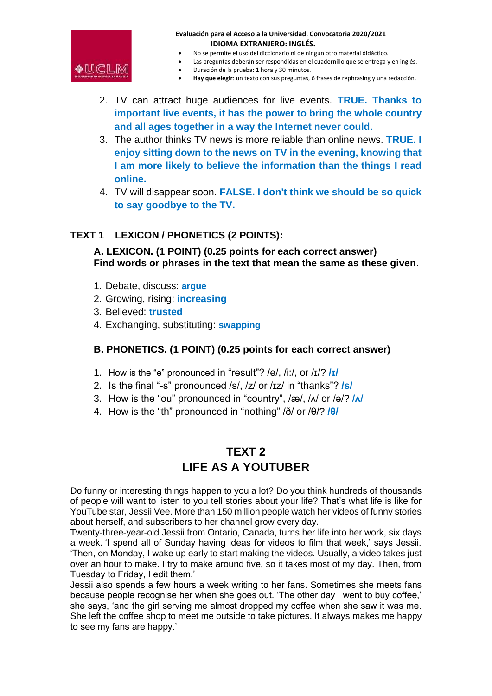

- No se permite el uso del diccionario ni de ningún otro material didáctico.
- Las preguntas deberán ser respondidas en el cuadernillo que se entrega y en inglés.
	- Duración de la prueba: 1 hora y 30 minutos.
- **Hay que elegir**: un texto con sus preguntas, 6 frases de rephrasing y una redacción.
- 2. TV can attract huge audiences for live events. **TRUE. Thanks to important live events, it has the power to bring the whole country and all ages together in a way the Internet never could.**
- 3. The author thinks TV news is more reliable than online news. **TRUE. I enjoy sitting down to the news on TV in the evening, knowing that I am more likely to believe the information than the things I read online.**
- 4. TV will disappear soon. **FALSE. I don't think we should be so quick to say goodbye to the TV.**

### **TEXT 1 LEXICON / PHONETICS (2 POINTS):**

**A. LEXICON. (1 POINT) (0.25 points for each correct answer) Find words or phrases in the text that mean the same as these given**.

- 1. Debate, discuss: **argue**
- 2. Growing, rising: **increasing**
- 3. Believed: **trusted**
- 4. Exchanging, substituting: **swapping**

### **B. PHONETICS. (1 POINT) (0.25 points for each correct answer)**

- 1. How is the "e" pronounced in "result"? /e/, /i:/, or /ɪ/? **/ɪ/**
- 2. Is the final "-s" pronounced /s/, /z/ or /ɪz/ in "thanks"? **/s/**
- 3. How is the "ou" pronounced in "country", /æ/, /ʌ/ or /ə/? **/ʌ/**
- 4. How is the "th" pronounced in "nothing" /ð/ or /θ/? **/θ/**

## **TEXT 2 LIFE AS A YOUTUBER**

Do funny or interesting things happen to you a lot? Do you think hundreds of thousands of people will want to listen to you tell stories about your life? That's what life is like for YouTube star, Jessii Vee. More than 150 million people watch her videos of funny stories about herself, and subscribers to her channel grow every day.

Twenty-three-year-old Jessii from Ontario, Canada, turns her life into her work, six days a week. 'I spend all of Sunday having ideas for videos to film that week,' says Jessii. 'Then, on Monday, I wake up early to start making the videos. Usually, a video takes just over an hour to make. I try to make around five, so it takes most of my day. Then, from Tuesday to Friday, I edit them.'

Jessii also spends a few hours a week writing to her fans. Sometimes she meets fans because people recognise her when she goes out. 'The other day I went to buy coffee,' she says, 'and the girl serving me almost dropped my coffee when she saw it was me. She left the coffee shop to meet me outside to take pictures. It always makes me happy to see my fans are happy.'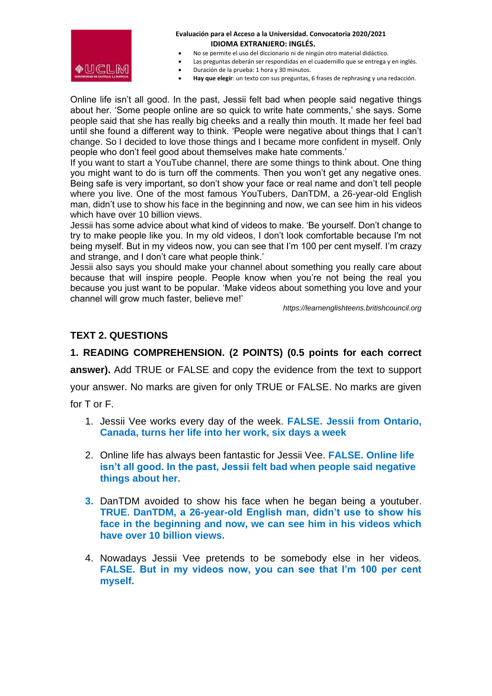

- No se permite el uso del diccionario ni de ningún otro material didáctico.
- Las preguntas deberán ser respondidas en el cuadernillo que se entrega y en inglés.
	- Duración de la prueba: 1 hora y 30 minutos.
- **Hay que elegir**: un texto con sus preguntas, 6 frases de rephrasing y una redacción.

Online life isn't all good. In the past, Jessii felt bad when people said negative things about her. 'Some people online are so quick to write hate comments,' she says. Some people said that she has really big cheeks and a really thin mouth. It made her feel bad until she found a different way to think. 'People were negative about things that I can't change. So I decided to love those things and I became more confident in myself. Only people who don't feel good about themselves make hate comments.'

If you want to start a YouTube channel, there are some things to think about. One thing you might want to do is turn off the comments. Then you won't get any negative ones. Being safe is very important, so don't show your face or real name and don't tell people where you live. One of the most famous YouTubers, DanTDM, a 26-year-old English man, didn't use to show his face in the beginning and now, we can see him in his videos which have over 10 billion views.

Jessii has some advice about what kind of videos to make. 'Be yourself. Don't change to try to make people like you. In my old videos, I don't look comfortable because I'm not being myself. But in my videos now, you can see that I'm 100 per cent myself. I'm crazy and strange, and I don't care what people think.'

Jessii also says you should make your channel about something you really care about because that will inspire people. People know when you're not being the real you because you just want to be popular. 'Make videos about something you love and your channel will grow much faster, believe me!'

*https://learnenglishteens.britishcouncil.org*

### **TEXT 2. QUESTIONS**

**1. READING COMPREHENSION. (2 POINTS) (0.5 points for each correct answer).** Add TRUE or FALSE and copy the evidence from the text to support your answer. No marks are given for only TRUE or FALSE. No marks are given for T or F.

- 1. Jessii Vee works every day of the week. **FALSE. Jessii from Ontario, Canada, turns her life into her work, six days a week**
- 2. Online life has always been fantastic for Jessii Vee. **FALSE. Online life isn't all good. In the past, Jessii felt bad when people said negative things about her.**
- **3.** DanTDM avoided to show his face when he began being a youtuber. **TRUE**. **DanTDM, a 26-year-old English man, didn't use to show his face in the beginning and now, we can see him in his videos which have over 10 billion views.**
- 4. Nowadays Jessii Vee pretends to be somebody else in her videos. **FALSE. But in my videos now, you can see that I'm 100 per cent myself.**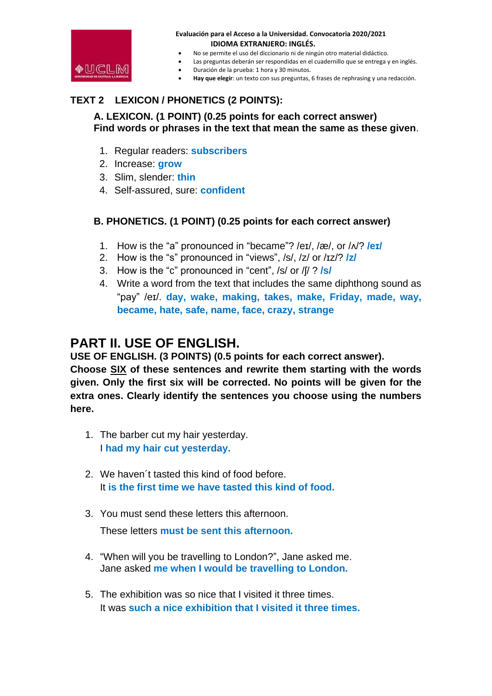

- No se permite el uso del diccionario ni de ningún otro material didáctico.
- Las preguntas deberán ser respondidas en el cuadernillo que se entrega y en inglés.
	- Duración de la prueba: 1 hora y 30 minutos.
- **Hay que elegir**: un texto con sus preguntas, 6 frases de rephrasing y una redacción.

### **TEXT 2 LEXICON / PHONETICS (2 POINTS):**

### **A. LEXICON. (1 POINT) (0.25 points for each correct answer) Find words or phrases in the text that mean the same as these given**.

- 1. Regular readers: **subscribers**
- 2. Increase: **grow**
- 3. Slim, slender: **thin**
- 4. Self-assured, sure: **confident**

### **B. PHONETICS. (1 POINT) (0.25 points for each correct answer)**

- 1. How is the "a" pronounced in "became"? /eɪ/, /æ/, or /ʌ/? **/eɪ/**
- 2. How is the "s" pronounced in "views", /s/, /z/ or /ɪz/? **/z/**
- 3. How is the "c" pronounced in "cent", /s/ or /ʃ/ ? **/s/**
- 4. Write a word from the text that includes the same diphthong sound as "pay" /eɪ/. **day, wake, making, takes, make, Friday, made, way, became, hate, safe, name, face, crazy, strange**

## **PART II. USE OF ENGLISH.**

**USE OF ENGLISH. (3 POINTS) (0.5 points for each correct answer). Choose SIX of these sentences and rewrite them starting with the words given. Only the first six will be corrected. No points will be given for the extra ones. Clearly identify the sentences you choose using the numbers** 

- **here.** 
	- 1. The barber cut my hair yesterday. I **had my hair cut yesterday.**
	- 2. We haven´t tasted this kind of food before. It **is the first time we have tasted this kind of food.**
	- 3. You must send these letters this afternoon.

These letters **must be sent this afternoon.**

- 4. "When will you be travelling to London?", Jane asked me. Jane asked **me when I would be travelling to London.**
- 5. The exhibition was so nice that I visited it three times. It was **such a nice exhibition that I visited it three times.**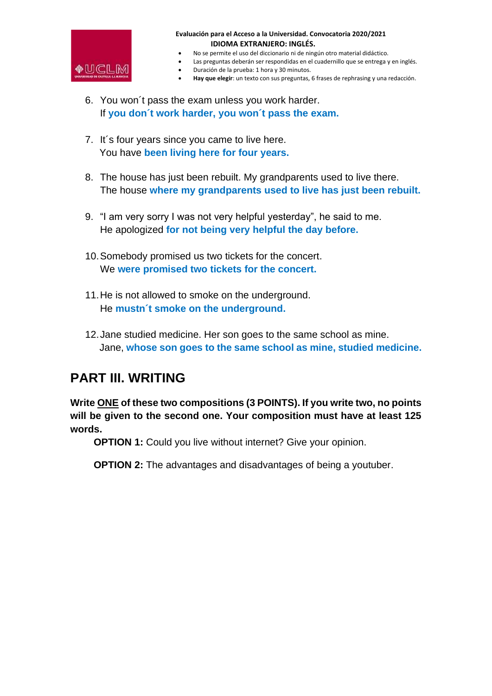

- No se permite el uso del diccionario ni de ningún otro material didáctico.
- Las preguntas deberán ser respondidas en el cuadernillo que se entrega y en inglés.
	- Duración de la prueba: 1 hora y 30 minutos.
- **Hay que elegir**: un texto con sus preguntas, 6 frases de rephrasing y una redacción.
- 6. You won´t pass the exam unless you work harder. If **you don´t work harder, you won´t pass the exam.**
- 7. It´s four years since you came to live here. You have **been living here for four years.**
- 8. The house has just been rebuilt. My grandparents used to live there. The house **where my grandparents used to live has just been rebuilt.**
- 9. "I am very sorry I was not very helpful yesterday", he said to me. He apologized **for not being very helpful the day before.**
- 10.Somebody promised us two tickets for the concert. We **were promised two tickets for the concert.**
- 11.He is not allowed to smoke on the underground. He **mustn´t smoke on the underground.**
- 12.Jane studied medicine. Her son goes to the same school as mine. Jane, **whose son goes to the same school as mine, studied medicine.**

## **PART III. WRITING**

**Write ONE of these two compositions (3 POINTS). If you write two, no points will be given to the second one. Your composition must have at least 125 words.**

**OPTION 1:** Could you live without internet? Give your opinion.

**OPTION 2:** The advantages and disadvantages of being a youtuber.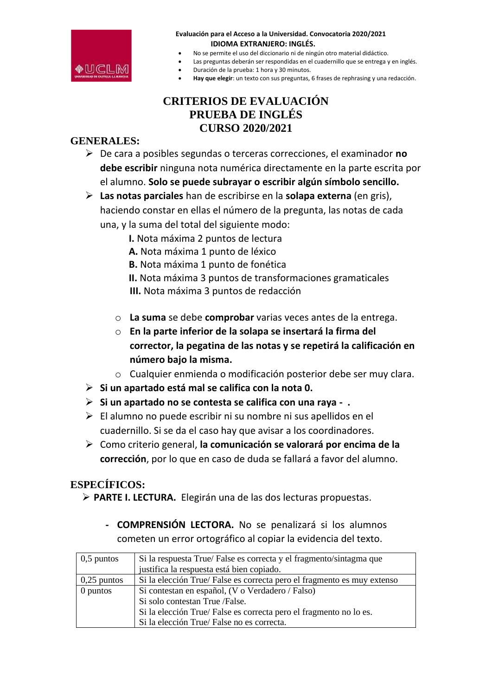

- No se permite el uso del diccionario ni de ningún otro material didáctico.
- Las preguntas deberán ser respondidas en el cuadernillo que se entrega y en inglés.
- Duración de la prueba: 1 hora y 30 minutos.
- **Hay que elegir**: un texto con sus preguntas, 6 frases de rephrasing y una redacción.

### **CRITERIOS DE EVALUACIÓN PRUEBA DE INGLÉS CURSO 2020/2021**

### **GENERALES:**

- ➢ De cara a posibles segundas o terceras correcciones, el examinador **no debe escribir** ninguna nota numérica directamente en la parte escrita por el alumno. **Solo se puede subrayar o escribir algún símbolo sencillo.**
- ➢ **Las notas parciales** han de escribirse en la **solapa externa** (en gris), haciendo constar en ellas el número de la pregunta, las notas de cada una, y la suma del total del siguiente modo:
	- **I.** Nota máxima 2 puntos de lectura
	- **A.** Nota máxima 1 punto de léxico
	- **B.** Nota máxima 1 punto de fonética
	- **II.** Nota máxima 3 puntos de transformaciones gramaticales **III.** Nota máxima 3 puntos de redacción
	- o **La suma** se debe **comprobar** varias veces antes de la entrega.
	- o **En la parte inferior de la solapa se insertará la firma del corrector, la pegatina de las notas y se repetirá la calificación en número bajo la misma.**
	- o Cualquier enmienda o modificación posterior debe ser muy clara.
- ➢ **Si un apartado está mal se califica con la nota 0.**
- ➢ **Si un apartado no se contesta se califica con una raya .**
- $\triangleright$  El alumno no puede escribir ni su nombre ni sus apellidos en el cuadernillo. Si se da el caso hay que avisar a los coordinadores.
- ➢ Como criterio general, **la comunicación se valorará por encima de la corrección**, por lo que en caso de duda se fallará a favor del alumno.

### **ESPECÍFICOS:**

- ➢ **PARTE I. LECTURA.** Elegirán una de las dos lecturas propuestas.
	- **- COMPRENSIÓN LECTORA.** No se penalizará si los alumnos cometen un error ortográfico al copiar la evidencia del texto.

| $\vert 0, 5 \rangle$ puntos | Si la respuesta True/False es correcta y el fragmento/sintagma que     |  |  |  |  |  |
|-----------------------------|------------------------------------------------------------------------|--|--|--|--|--|
|                             | justifica la respuesta está bien copiado.                              |  |  |  |  |  |
| $\vert 0,25$ puntos         | Si la elección True/False es correcta pero el fragmento es muy extenso |  |  |  |  |  |
| 0 puntos                    | Si contestan en español, (V o Verdadero / Falso)                       |  |  |  |  |  |
|                             | Si solo contestan True /False.                                         |  |  |  |  |  |
|                             | Si la elección True/False es correcta pero el fragmento no lo es.      |  |  |  |  |  |
|                             | Si la elección True/False no es correcta.                              |  |  |  |  |  |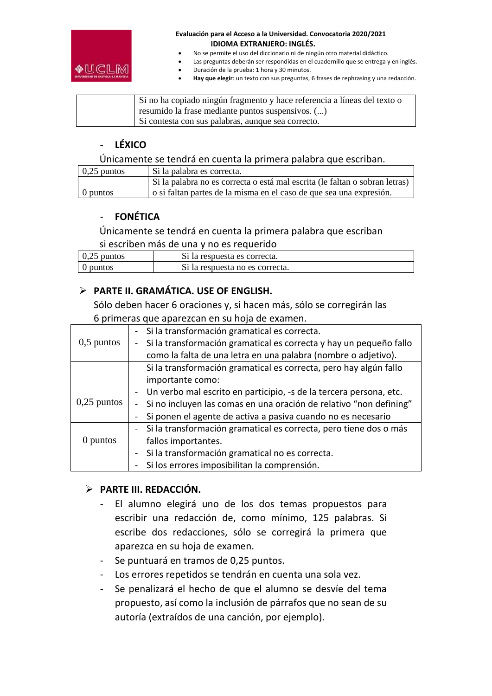

- No se permite el uso del diccionario ni de ningún otro material didáctico.
- Las preguntas deberán ser respondidas en el cuadernillo que se entrega y en inglés.
- Duración de la prueba: 1 hora y 30 minutos.
- **Hay que elegir**: un texto con sus preguntas, 6 frases de rephrasing y una redacción.

Si no ha copiado ningún fragmento y hace referencia a líneas del texto o resumido la frase mediante puntos suspensivos. (...) Si contesta con sus palabras, aunque sea correcto.

### **- LÉXICO**

Únicamente se tendrá en cuenta la primera palabra que escriban.

| $0,25$ puntos | Si la palabra es correcta.                                                  |
|---------------|-----------------------------------------------------------------------------|
|               | Si la palabra no es correcta o está mal escrita (le faltan o sobran letras) |
| 0 puntos      | o si faltan partes de la misma en el caso de que sea una expresión.         |

### - **FONÉTICA**

Únicamente se tendrá en cuenta la primera palabra que escriban si escriben más de una y no es requerido

| $\vert 0.25$ puntos | Si la respuesta es correcta.    |
|---------------------|---------------------------------|
| $\theta$ puntos     | Si la respuesta no es correcta. |

### ➢ **PARTE II. GRAMÁTICA. USE OF ENGLISH.**

Sólo deben hacer 6 oraciones y, si hacen más, sólo se corregirán las 6 primeras que aparezcan en su hoja de examen.

|               | - Si la transformación gramatical es correcta.                      |  |  |  |  |  |  |
|---------------|---------------------------------------------------------------------|--|--|--|--|--|--|
| $0,5$ puntos  | Si la transformación gramatical es correcta y hay un pequeño fallo  |  |  |  |  |  |  |
|               | como la falta de una letra en una palabra (nombre o adjetivo).      |  |  |  |  |  |  |
|               | Si la transformación gramatical es correcta, pero hay algún fallo   |  |  |  |  |  |  |
|               | importante como:                                                    |  |  |  |  |  |  |
| $0,25$ puntos | Un verbo mal escrito en participio, -s de la tercera persona, etc.  |  |  |  |  |  |  |
|               | Si no incluyen las comas en una oración de relativo "non defining"  |  |  |  |  |  |  |
|               | Si ponen el agente de activa a pasiva cuando no es necesario        |  |  |  |  |  |  |
|               | - Si la transformación gramatical es correcta, pero tiene dos o más |  |  |  |  |  |  |
| 0 puntos      | fallos importantes.                                                 |  |  |  |  |  |  |
|               | Si la transformación gramatical no es correcta.                     |  |  |  |  |  |  |
|               | Si los errores imposibilitan la comprensión.                        |  |  |  |  |  |  |

### ➢ **PARTE III. REDACCIÓN.**

- El alumno elegirá uno de los dos temas propuestos para escribir una redacción de, como mínimo, 125 palabras. Si escribe dos redacciones, sólo se corregirá la primera que aparezca en su hoja de examen.
- Se puntuará en tramos de 0,25 puntos.
- Los errores repetidos se tendrán en cuenta una sola vez.
- Se penalizará el hecho de que el alumno se desvíe del tema propuesto, así como la inclusión de párrafos que no sean de su autoría (extraídos de una canción, por ejemplo).